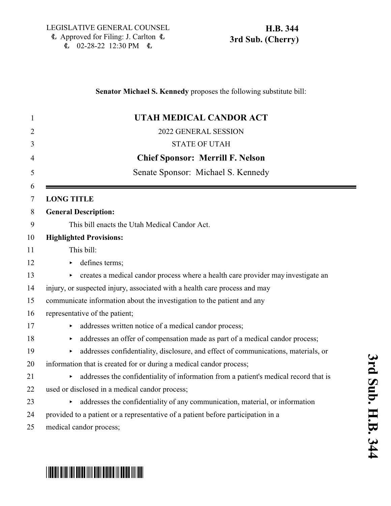$E$  02-28-22 12:30 PM  $E$ 

### **Senator Michael S. Kennedy** proposes the following substitute bill:

| 1              | UTAH MEDICAL CANDOR ACT                                                                               |
|----------------|-------------------------------------------------------------------------------------------------------|
| $\overline{2}$ | 2022 GENERAL SESSION                                                                                  |
| 3              | <b>STATE OF UTAH</b>                                                                                  |
| 4              | <b>Chief Sponsor: Merrill F. Nelson</b>                                                               |
| 5              | Senate Sponsor: Michael S. Kennedy                                                                    |
| 6<br>7         | <b>LONG TITLE</b>                                                                                     |
| 8              | <b>General Description:</b>                                                                           |
| 9              | This bill enacts the Utah Medical Candor Act.                                                         |
| 10             | <b>Highlighted Provisions:</b>                                                                        |
| 11             | This bill:                                                                                            |
| 12             | defines terms;                                                                                        |
| 13             | creates a medical candor process where a health care provider may investigate an                      |
| 14             | injury, or suspected injury, associated with a health care process and may                            |
| 15             | communicate information about the investigation to the patient and any                                |
| 16             | representative of the patient;                                                                        |
| 17             | addresses written notice of a medical candor process;<br>▶                                            |
| 18             | addresses an offer of compensation made as part of a medical candor process;<br>$\blacktriangleright$ |
| 19             | addresses confidentiality, disclosure, and effect of communications, materials, or<br>▶               |
| 20             | information that is created for or during a medical candor process;                                   |
| 21             | addresses the confidentiality of information from a patient's medical record that is<br>Þ.            |
| 22             | used or disclosed in a medical candor process;                                                        |
| 23             | addresses the confidentiality of any communication, material, or information<br>Þ.                    |
| 24             | provided to a patient or a representative of a patient before participation in a                      |
| 25             | medical candor process;                                                                               |

# \*HB0344S03\*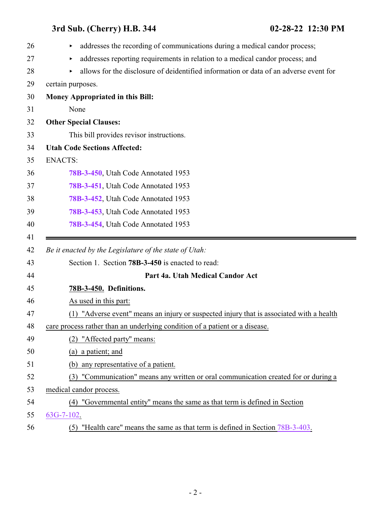<span id="page-1-0"></span>

| 26 | addresses the recording of communications during a medical candor process;               |
|----|------------------------------------------------------------------------------------------|
| 27 | addresses reporting requirements in relation to a medical candor process; and<br>▶       |
| 28 | allows for the disclosure of deidentified information or data of an adverse event for    |
| 29 | certain purposes.                                                                        |
| 30 | Money Appropriated in this Bill:                                                         |
| 31 | None                                                                                     |
| 32 | <b>Other Special Clauses:</b>                                                            |
| 33 | This bill provides revisor instructions.                                                 |
| 34 | <b>Utah Code Sections Affected:</b>                                                      |
| 35 | <b>ENACTS:</b>                                                                           |
| 36 | 78B-3-450, Utah Code Annotated 1953                                                      |
| 37 | 78B-3-451, Utah Code Annotated 1953                                                      |
| 38 | 78B-3-452, Utah Code Annotated 1953                                                      |
| 39 | 78B-3-453, Utah Code Annotated 1953                                                      |
| 40 | 78B-3-454, Utah Code Annotated 1953                                                      |
| 41 |                                                                                          |
| 42 | Be it enacted by the Legislature of the state of Utah:                                   |
| 43 | Section 1. Section 78B-3-450 is enacted to read:                                         |
| 44 | Part 4a. Utah Medical Candor Act                                                         |
| 45 | 78B-3-450. Definitions.                                                                  |
| 46 | As used in this part:                                                                    |
| 47 | (1) "Adverse event" means an injury or suspected injury that is associated with a health |
| 48 | care process rather than an underlying condition of a patient or a disease.              |
| 49 | "Affected party" means:<br>(2)                                                           |
| 50 | (a) a patient; and                                                                       |
| 51 | any representative of a patient.<br>(b)                                                  |
| 52 | (3) "Communication" means any written or oral communication created for or during a      |
| 53 | medical candor process.                                                                  |
| 54 | (4) "Governmental entity" means the same as that term is defined in Section              |
| 55 | $63G-7-102$ .                                                                            |
| 56 | (5) "Health care" means the same as that term is defined in Section 78B-3-403.           |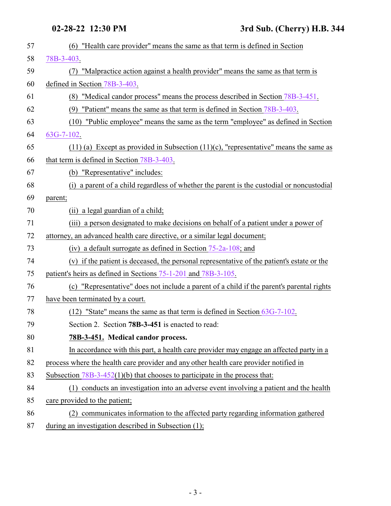<span id="page-2-0"></span>

| 57 | (6) "Health care provider" means the same as that term is defined in Section               |
|----|--------------------------------------------------------------------------------------------|
| 58 | 78B-3-403.                                                                                 |
| 59 | "Malpractice action against a health provider" means the same as that term is<br>(7)       |
| 60 | defined in Section 78B-3-403.                                                              |
| 61 | (8) "Medical candor process" means the process described in Section 78B-3-451.             |
| 62 | (9) "Patient" means the same as that term is defined in Section 78B-3-403.                 |
| 63 | (10) "Public employee" means the same as the term "employee" as defined in Section         |
| 64 | $63G-7-102$ .                                                                              |
| 65 | $(11)$ (a) Except as provided in Subsection $(11)$ (c), "representative" means the same as |
| 66 | that term is defined in Section 78B-3-403.                                                 |
| 67 | (b) "Representative" includes:                                                             |
| 68 | (i) a parent of a child regardless of whether the parent is the custodial or noncustodial  |
| 69 | parent;                                                                                    |
| 70 | (ii) a legal guardian of a child;                                                          |
| 71 | (iii) a person designated to make decisions on behalf of a patient under a power of        |
| 72 | attorney, an advanced health care directive, or a similar legal document;                  |
| 73 | (iv) a default surrogate as defined in Section $75-2a-108$ ; and                           |
| 74 | (v) if the patient is deceased, the personal representative of the patient's estate or the |
| 75 | patient's heirs as defined in Sections 75-1-201 and 78B-3-105.                             |
| 76 | (c) "Representative" does not include a parent of a child if the parent's parental rights  |
| 77 | have been terminated by a court.                                                           |
| 78 | $(12)$ "State" means the same as that term is defined in Section $63G-7-102$ .             |
| 79 | Section 2. Section <b>78B-3-451</b> is enacted to read:                                    |
| 80 | 78B-3-451. Medical candor process.                                                         |
| 81 | In accordance with this part, a health care provider may engage an affected party in a     |
| 82 | process where the health care provider and any other health care provider notified in      |
| 83 | Subsection $78B-3-452(1)(b)$ that chooses to participate in the process that:              |
| 84 | (1) conducts an investigation into an adverse event involving a patient and the health     |
| 85 | care provided to the patient;                                                              |
| 86 | communicates information to the affected party regarding information gathered<br>(2)       |
| 87 | during an investigation described in Subsection (1);                                       |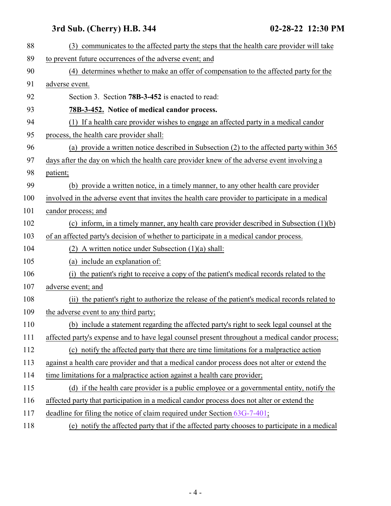<span id="page-3-0"></span>

| 88  | (3) communicates to the affected party the steps that the health care provider will take        |
|-----|-------------------------------------------------------------------------------------------------|
| 89  | to prevent future occurrences of the adverse event; and                                         |
| 90  | (4) determines whether to make an offer of compensation to the affected party for the           |
| 91  | adverse event.                                                                                  |
| 92  | Section 3. Section 78B-3-452 is enacted to read:                                                |
| 93  | 78B-3-452. Notice of medical candor process.                                                    |
| 94  | (1) If a health care provider wishes to engage an affected party in a medical candor            |
| 95  | process, the health care provider shall:                                                        |
| 96  | (a) provide a written notice described in Subsection (2) to the affected party within 365       |
| 97  | days after the day on which the health care provider knew of the adverse event involving a      |
| 98  | patient;                                                                                        |
| 99  | (b) provide a written notice, in a timely manner, to any other health care provider             |
| 100 | involved in the adverse event that invites the health care provider to participate in a medical |
| 101 | candor process; and                                                                             |
| 102 | (c) inform, in a timely manner, any health care provider described in Subsection $(1)(b)$       |
| 103 | of an affected party's decision of whether to participate in a medical candor process.          |
| 104 | (2) A written notice under Subsection $(1)(a)$ shall:                                           |
| 105 | (a) include an explanation of:                                                                  |
| 106 | the patient's right to receive a copy of the patient's medical records related to the<br>(i)    |
| 107 | adverse event; and                                                                              |
| 108 | (ii) the patient's right to authorize the release of the patient's medical records related to   |
| 109 | the adverse event to any third party;                                                           |
| 110 | (b) include a statement regarding the affected party's right to seek legal counsel at the       |
| 111 | affected party's expense and to have legal counsel present throughout a medical candor process; |
| 112 | (c) notify the affected party that there are time limitations for a malpractice action          |
| 113 | against a health care provider and that a medical candor process does not alter or extend the   |
| 114 | time limitations for a malpractice action against a health care provider;                       |
| 115 | (d) if the health care provider is a public employee or a governmental entity, notify the       |
| 116 | affected party that participation in a medical candor process does not alter or extend the      |
| 117 | deadline for filing the notice of claim required under Section 63G-7-401;                       |
| 118 | (e) notify the affected party that if the affected party chooses to participate in a medical    |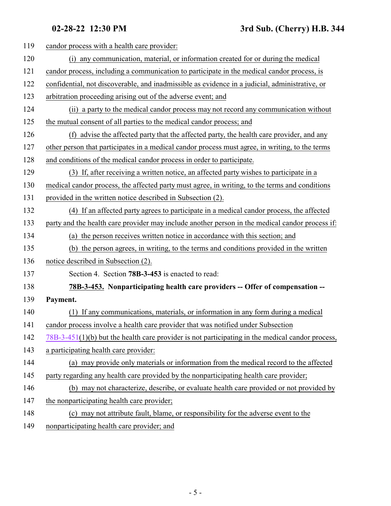| 119 | candor process with a health care provider:                                                        |
|-----|----------------------------------------------------------------------------------------------------|
| 120 | (i) any communication, material, or information created for or during the medical                  |
| 121 | candor process, including a communication to participate in the medical candor process, is         |
| 122 | confidential, not discoverable, and inadmissible as evidence in a judicial, administrative, or     |
| 123 | arbitration proceeding arising out of the adverse event; and                                       |
| 124 | (ii) a party to the medical candor process may not record any communication without                |
| 125 | the mutual consent of all parties to the medical candor process; and                               |
| 126 | (f) advise the affected party that the affected party, the health care provider, and any           |
| 127 | other person that participates in a medical candor process must agree, in writing, to the terms    |
| 128 | and conditions of the medical candor process in order to participate.                              |
| 129 | (3) If, after receiving a written notice, an affected party wishes to participate in a             |
| 130 | medical candor process, the affected party must agree, in writing, to the terms and conditions     |
| 131 | provided in the written notice described in Subsection (2).                                        |
| 132 | (4) If an affected party agrees to participate in a medical candor process, the affected           |
| 133 | party and the health care provider may include another person in the medical candor process if:    |
| 134 | (a) the person receives written notice in accordance with this section; and                        |
| 135 | (b) the person agrees, in writing, to the terms and conditions provided in the written             |
| 136 | notice described in Subsection (2).                                                                |
| 137 | Section 4. Section 78B-3-453 is enacted to read:                                                   |
| 138 | 78B-3-453. Nonparticipating health care providers -- Offer of compensation --                      |
| 139 | Payment.                                                                                           |
| 140 | (1) If any communications, materials, or information in any form during a medical                  |
| 141 | candor process involve a health care provider that was notified under Subsection                   |
| 142 | $78B-3-451(1)(b)$ but the health care provider is not participating in the medical candor process, |
| 143 | a participating health care provider:                                                              |
| 144 | (a) may provide only materials or information from the medical record to the affected              |
| 145 | party regarding any health care provided by the nonparticipating health care provider;             |
| 146 | (b) may not characterize, describe, or evaluate health care provided or not provided by            |
| 147 | the nonparticipating health care provider;                                                         |
| 148 | (c) may not attribute fault, blame, or responsibility for the adverse event to the                 |
|     |                                                                                                    |

<span id="page-4-0"></span>149 nonparticipating health care provider; and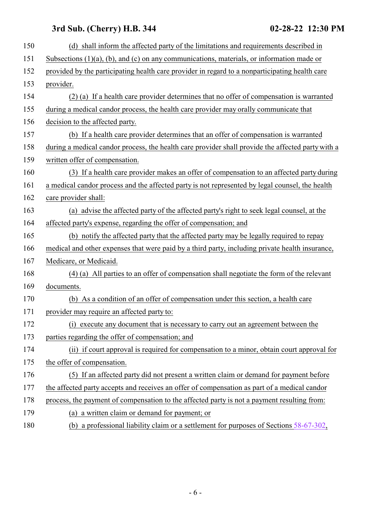| 150 | (d) shall inform the affected party of the limitations and requirements described in              |
|-----|---------------------------------------------------------------------------------------------------|
| 151 | Subsections $(1)(a)$ , $(b)$ , and $(c)$ on any communications, materials, or information made or |
| 152 | provided by the participating health care provider in regard to a nonparticipating health care    |
| 153 | provider.                                                                                         |
| 154 | (2) (a) If a health care provider determines that no offer of compensation is warranted           |
| 155 | during a medical candor process, the health care provider may orally communicate that             |
| 156 | decision to the affected party.                                                                   |
| 157 | (b) If a health care provider determines that an offer of compensation is warranted               |
| 158 | during a medical candor process, the health care provider shall provide the affected party with a |
| 159 | written offer of compensation.                                                                    |
| 160 | (3) If a health care provider makes an offer of compensation to an affected party during          |
| 161 | a medical candor process and the affected party is not represented by legal counsel, the health   |
| 162 | care provider shall:                                                                              |
| 163 | (a) advise the affected party of the affected party's right to seek legal counsel, at the         |
| 164 | affected party's expense, regarding the offer of compensation; and                                |
| 165 | (b) notify the affected party that the affected party may be legally required to repay            |
| 166 | medical and other expenses that were paid by a third party, including private health insurance,   |
| 167 | Medicare, or Medicaid.                                                                            |
| 168 | (4) (a) All parties to an offer of compensation shall negotiate the form of the relevant          |
| 169 | documents.                                                                                        |
| 170 | (b) As a condition of an offer of compensation under this section, a health care                  |
| 171 | provider may require an affected party to:                                                        |
| 172 | (i) execute any document that is necessary to carry out an agreement between the                  |
| 173 | parties regarding the offer of compensation; and                                                  |
| 174 | (ii) if court approval is required for compensation to a minor, obtain court approval for         |
| 175 | the offer of compensation.                                                                        |
| 176 | (5) If an affected party did not present a written claim or demand for payment before             |
| 177 | the affected party accepts and receives an offer of compensation as part of a medical candor      |
| 178 | process, the payment of compensation to the affected party is not a payment resulting from:       |
| 179 | (a) a written claim or demand for payment; or                                                     |
| 180 | (b) a professional liability claim or a settlement for purposes of Sections $58-67-302$ ,         |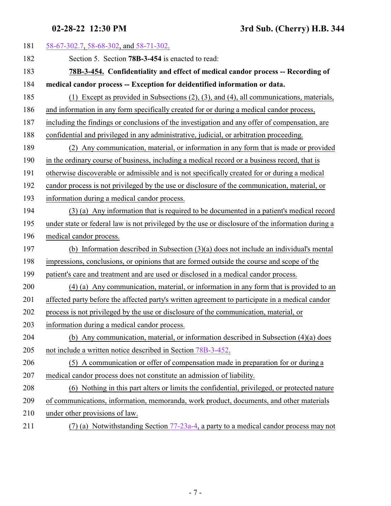<span id="page-6-0"></span>

| 181 | 58-67-302.7, 58-68-302, and 58-71-302.                                                            |
|-----|---------------------------------------------------------------------------------------------------|
| 182 | Section 5. Section 78B-3-454 is enacted to read:                                                  |
| 183 | 78B-3-454. Confidentiality and effect of medical candor process -- Recording of                   |
| 184 | medical candor process -- Exception for deidentified information or data.                         |
| 185 | (1) Except as provided in Subsections $(2)$ , $(3)$ , and $(4)$ , all communications, materials,  |
| 186 | and information in any form specifically created for or during a medical candor process,          |
| 187 | including the findings or conclusions of the investigation and any offer of compensation, are     |
| 188 | confidential and privileged in any administrative, judicial, or arbitration proceeding.           |
| 189 | Any communication, material, or information in any form that is made or provided<br>(2)           |
| 190 | in the ordinary course of business, including a medical record or a business record, that is      |
| 191 | otherwise discoverable or admissible and is not specifically created for or during a medical      |
| 192 | candor process is not privileged by the use or disclosure of the communication, material, or      |
| 193 | information during a medical candor process.                                                      |
| 194 | (3) (a) Any information that is required to be documented in a patient's medical record           |
| 195 | under state or federal law is not privileged by the use or disclosure of the information during a |
| 196 | medical candor process.                                                                           |
| 197 | (b) Information described in Subsection $(3)(a)$ does not include an individual's mental          |
| 198 | impressions, conclusions, or opinions that are formed outside the course and scope of the         |
| 199 | patient's care and treatment and are used or disclosed in a medical candor process.               |
| 200 | (4) (a) Any communication, material, or information in any form that is provided to an            |
| 201 | affected party before the affected party's written agreement to participate in a medical candor   |
| 202 | process is not privileged by the use or disclosure of the communication, material, or             |
| 203 | information during a medical candor process.                                                      |
| 204 | (b) Any communication, material, or information described in Subsection (4)(a) does               |
| 205 | not include a written notice described in Section 78B-3-452.                                      |
| 206 | (5) A communication or offer of compensation made in preparation for or during a                  |
| 207 | medical candor process does not constitute an admission of liability.                             |
| 208 | (6) Nothing in this part alters or limits the confidential, privileged, or protected nature       |
| 209 | of communications, information, memoranda, work product, documents, and other materials           |
| 210 | under other provisions of law.                                                                    |
| 211 | $(7)$ (a) Notwithstanding Section 77-23a-4, a party to a medical candor process may not           |